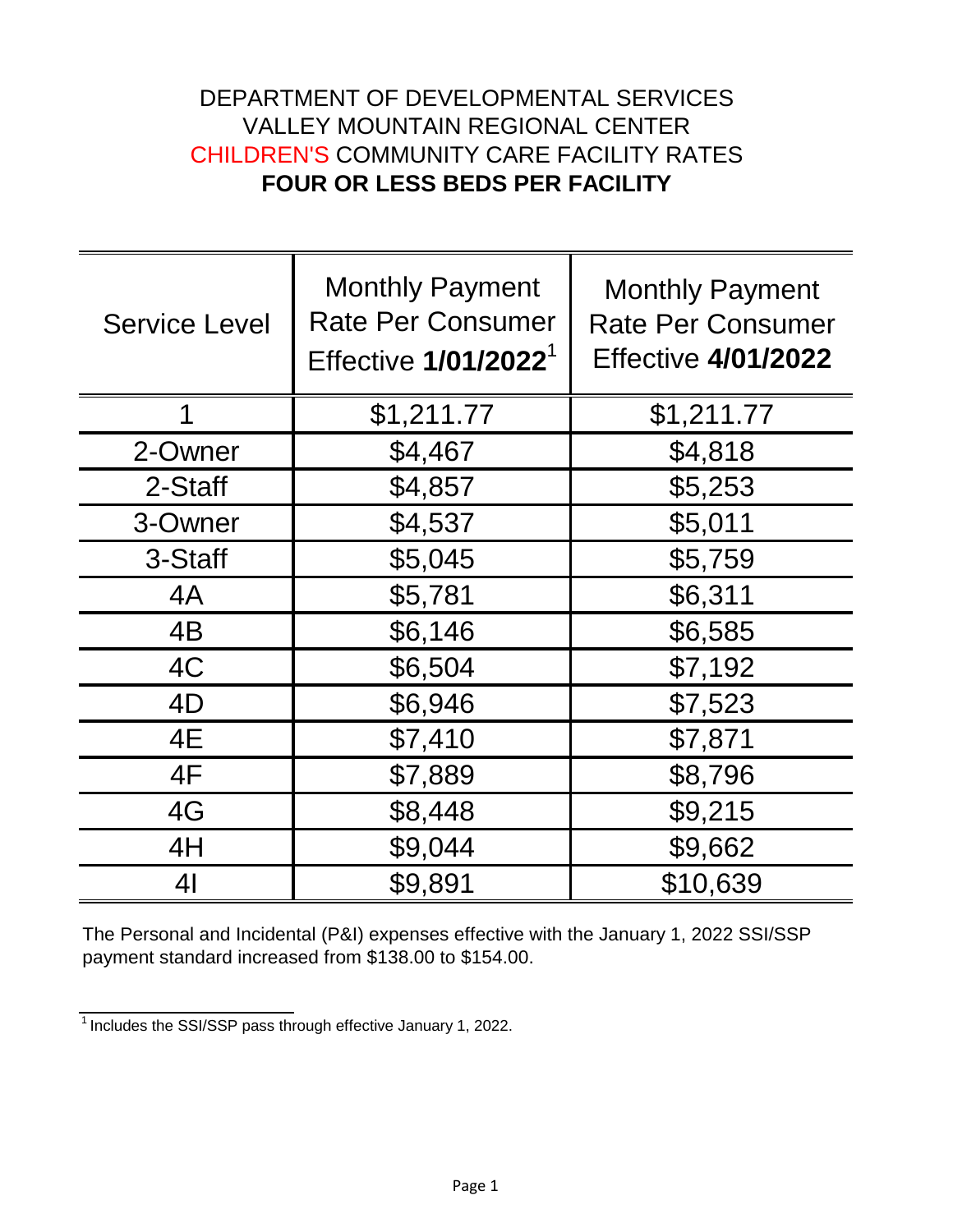## DEPARTMENT OF DEVELOPMENTAL SERVICES VALLEY MOUNTAIN REGIONAL CENTER CHILDREN'S COMMUNITY CARE FACILITY RATES **FOUR OR LESS BEDS PER FACILITY**

| <b>Service Level</b> | <b>Monthly Payment</b><br><b>Rate Per Consumer</b><br>Effective 1/01/2022 <sup>1</sup> | <b>Monthly Payment</b><br><b>Rate Per Consumer</b><br><b>Effective 4/01/2022</b> |
|----------------------|----------------------------------------------------------------------------------------|----------------------------------------------------------------------------------|
| 1                    | \$1,211.77                                                                             | \$1,211.77                                                                       |
| 2-Owner              | \$4,467                                                                                | \$4,818                                                                          |
| 2-Staff              | \$4,857                                                                                | \$5,253                                                                          |
| 3-Owner              | \$4,537                                                                                | \$5,011                                                                          |
| 3-Staff              | \$5,045                                                                                | \$5,759                                                                          |
| 4A                   | \$5,781                                                                                | \$6,311                                                                          |
| 4B                   | \$6,146                                                                                | \$6,585                                                                          |
| 4C                   | \$6,504                                                                                | \$7,192                                                                          |
| 4D                   | \$6,946                                                                                | \$7,523                                                                          |
| 4E                   | \$7,410                                                                                | \$7,871                                                                          |
| 4F                   | \$7,889                                                                                | \$8,796                                                                          |
| 4G                   | \$8,448                                                                                | \$9,215                                                                          |
| 4H                   | \$9,044                                                                                | \$9,662                                                                          |
| 4 <sub>l</sub>       | \$9,891                                                                                | \$10,639                                                                         |

The Personal and Incidental (P&I) expenses effective with the January 1, 2022 SSI/SSP payment standard increased from \$138.00 to \$154.00.

 $\frac{1}{1}$  Includes the SSI/SSP pass through effective January 1, 2022.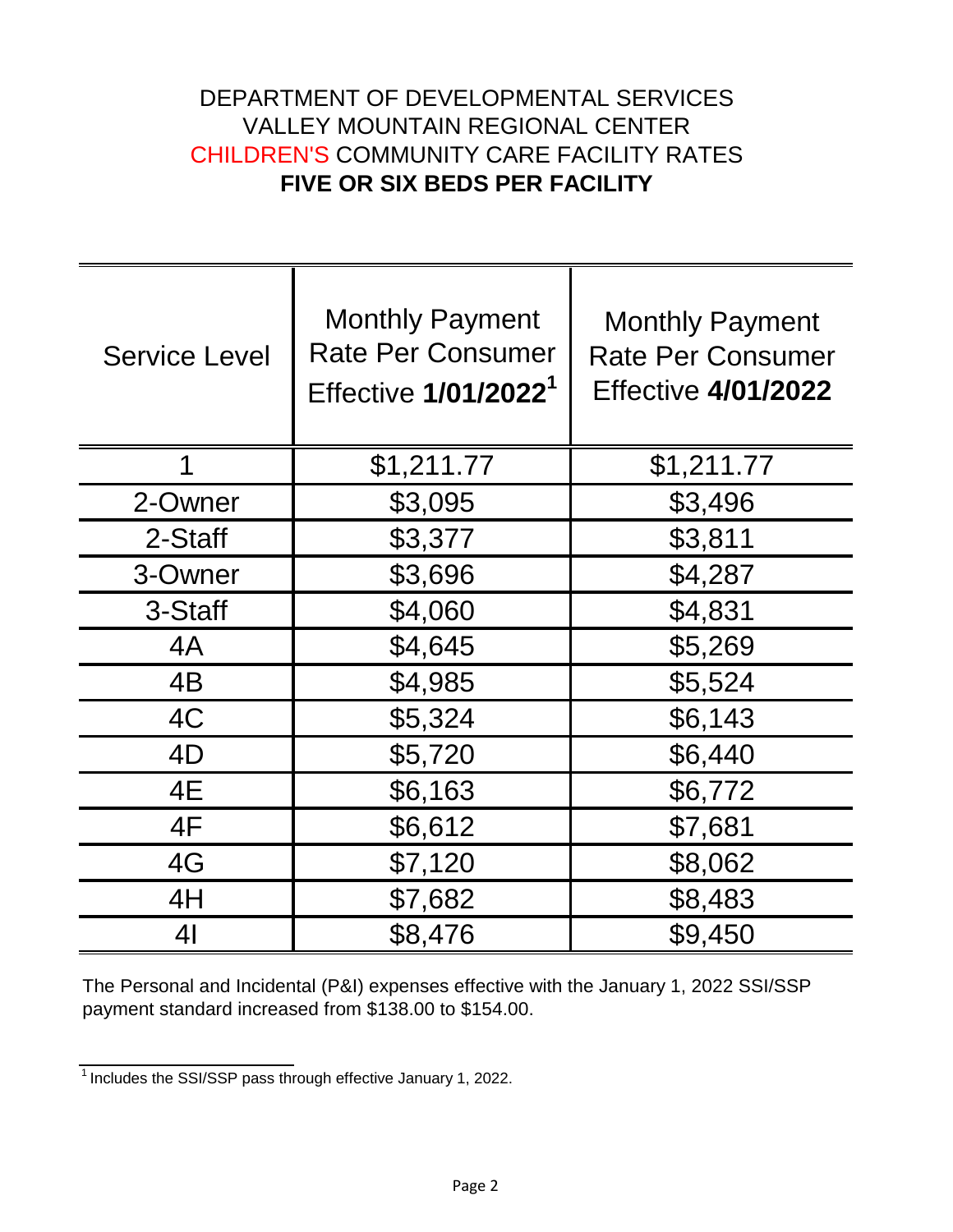## DEPARTMENT OF DEVELOPMENTAL SERVICES VALLEY MOUNTAIN REGIONAL CENTER CHILDREN'S COMMUNITY CARE FACILITY RATES **FIVE OR SIX BEDS PER FACILITY**

| <b>Service Level</b> | <b>Monthly Payment</b><br><b>Rate Per Consumer</b><br>Effective 1/01/2022 <sup>1</sup> | <b>Monthly Payment</b><br><b>Rate Per Consumer</b><br><b>Effective 4/01/2022</b> |
|----------------------|----------------------------------------------------------------------------------------|----------------------------------------------------------------------------------|
| 1                    | \$1,211.77                                                                             | \$1,211.77                                                                       |
| 2-Owner              | \$3,095                                                                                | \$3,496                                                                          |
| 2-Staff              | \$3,377                                                                                | \$3,811                                                                          |
| 3-Owner              | \$3,696                                                                                | \$4,287                                                                          |
| 3-Staff              | \$4,060                                                                                | \$4,831                                                                          |
| 4A                   | \$4,645                                                                                | \$5,269                                                                          |
| 4B                   | \$4,985                                                                                | \$5,524                                                                          |
| 4C                   | \$5,324                                                                                | \$6,143                                                                          |
| 4D                   | \$5,720                                                                                | \$6,440                                                                          |
| 4E                   | \$6,163                                                                                | \$6,772                                                                          |
| 4F                   | \$6,612                                                                                | \$7,681                                                                          |
| 4G                   | \$7,120                                                                                | \$8,062                                                                          |
| 4H                   | \$7,682                                                                                | \$8,483                                                                          |
| 41                   | \$8,476                                                                                | \$9,450                                                                          |

The Personal and Incidental (P&I) expenses effective with the January 1, 2022 SSI/SSP payment standard increased from \$138.00 to \$154.00.

 $\frac{1}{1}$  Includes the SSI/SSP pass through effective January 1, 2022.